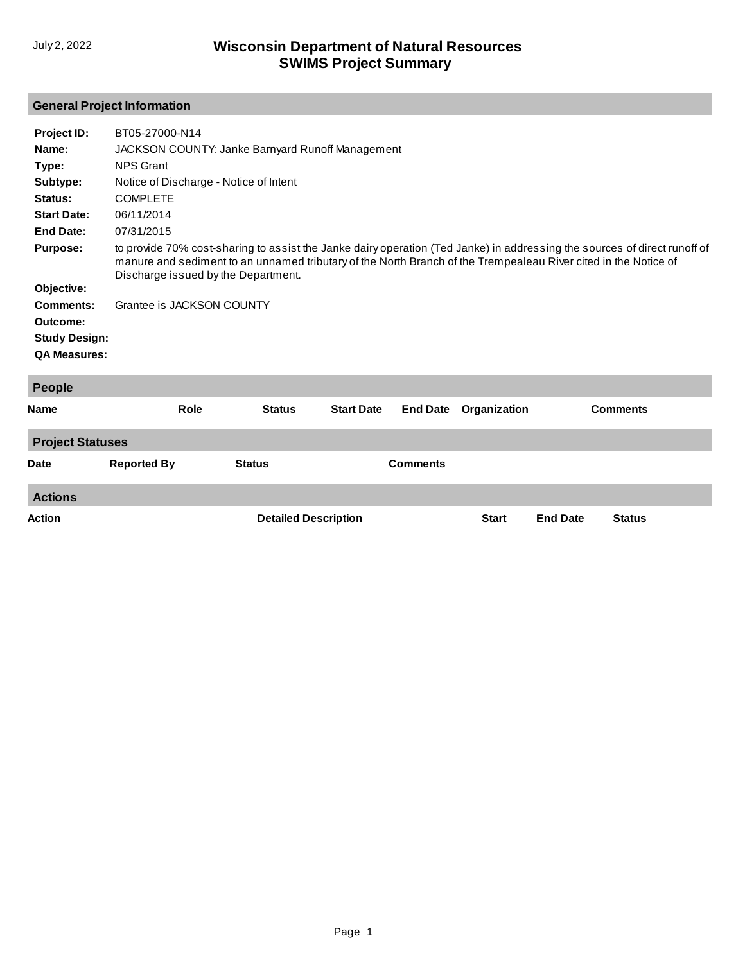# **General Project Information**

| Name                 | Role                                                                                                                                                                                                                                         | <b>Status</b> | <b>Start Date</b> | <b>End Date</b> | Organization | <b>Comments</b> |
|----------------------|----------------------------------------------------------------------------------------------------------------------------------------------------------------------------------------------------------------------------------------------|---------------|-------------------|-----------------|--------------|-----------------|
| <b>People</b>        |                                                                                                                                                                                                                                              |               |                   |                 |              |                 |
| <b>QA Measures:</b>  |                                                                                                                                                                                                                                              |               |                   |                 |              |                 |
| <b>Study Design:</b> |                                                                                                                                                                                                                                              |               |                   |                 |              |                 |
| Outcome:             |                                                                                                                                                                                                                                              |               |                   |                 |              |                 |
| <b>Comments:</b>     | Grantee is JACKSON COUNTY                                                                                                                                                                                                                    |               |                   |                 |              |                 |
| Objective:           | Discharge issued by the Department.                                                                                                                                                                                                          |               |                   |                 |              |                 |
| <b>Purpose:</b>      | to provide 70% cost-sharing to assist the Janke dairy operation (Ted Janke) in addressing the sources of direct runoff of<br>manure and sediment to an unnamed tributary of the North Branch of the Trempealeau River cited in the Notice of |               |                   |                 |              |                 |
| <b>End Date:</b>     | 07/31/2015                                                                                                                                                                                                                                   |               |                   |                 |              |                 |
| <b>Start Date:</b>   | 06/11/2014                                                                                                                                                                                                                                   |               |                   |                 |              |                 |
| Status:              | <b>COMPLETE</b>                                                                                                                                                                                                                              |               |                   |                 |              |                 |
| Subtype:             | Notice of Discharge - Notice of Intent                                                                                                                                                                                                       |               |                   |                 |              |                 |
| Type:                | <b>NPS Grant</b>                                                                                                                                                                                                                             |               |                   |                 |              |                 |
| Name:                | JACKSON COUNTY: Janke Barnyard Runoff Management                                                                                                                                                                                             |               |                   |                 |              |                 |
| Project ID:          | BT05-27000-N14                                                                                                                                                                                                                               |               |                   |                 |              |                 |
|                      |                                                                                                                                                                                                                                              |               |                   |                 |              |                 |

| . .<br><b>Project Statuses</b> |                    |                             |                 |              |                 |               |
|--------------------------------|--------------------|-----------------------------|-----------------|--------------|-----------------|---------------|
| <b>Date</b>                    | <b>Reported By</b> | <b>Status</b>               | <b>Comments</b> |              |                 |               |
| <b>Actions</b>                 |                    |                             |                 |              |                 |               |
| <b>Action</b>                  |                    | <b>Detailed Description</b> |                 | <b>Start</b> | <b>End Date</b> | <b>Status</b> |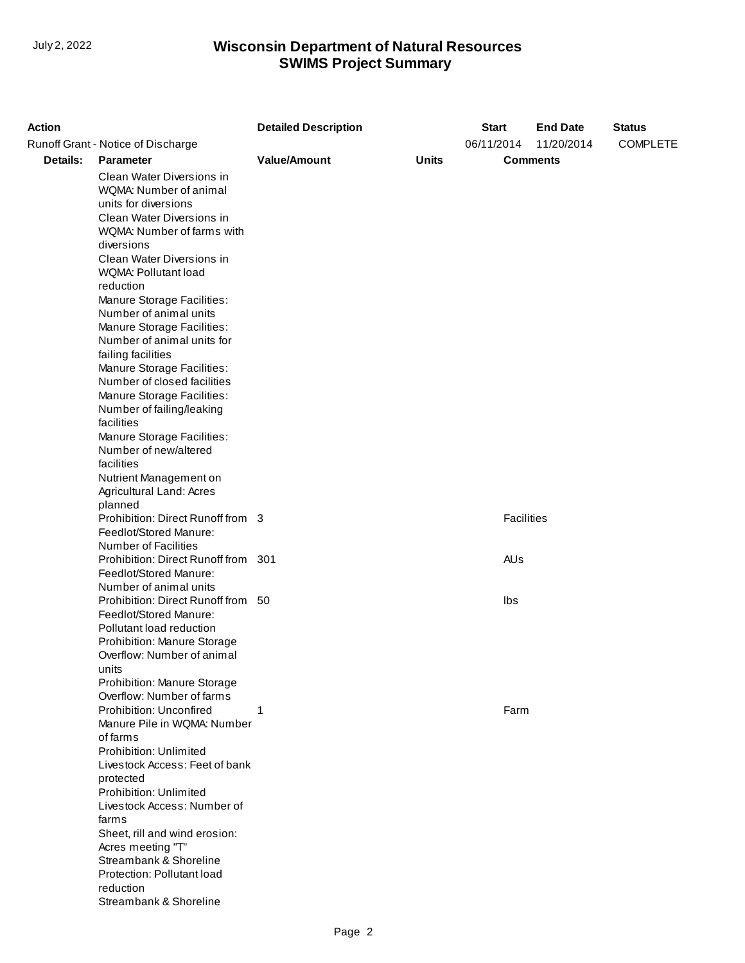| <b>Action</b> |                                                                                                                                                      | <b>Detailed Description</b> |              | Start             | <b>End Date</b> | <b>Status</b>   |
|---------------|------------------------------------------------------------------------------------------------------------------------------------------------------|-----------------------------|--------------|-------------------|-----------------|-----------------|
|               | Runoff Grant - Notice of Discharge                                                                                                                   |                             |              | 06/11/2014        | 11/20/2014      | <b>COMPLETE</b> |
| Details:      | <b>Parameter</b>                                                                                                                                     | <b>Value/Amount</b>         | <b>Units</b> |                   | <b>Comments</b> |                 |
|               | Clean Water Diversions in<br>WQMA: Number of animal<br>units for diversions<br>Clean Water Diversions in<br>WQMA: Number of farms with<br>diversions |                             |              |                   |                 |                 |
|               | Clean Water Diversions in<br>WQMA: Pollutant load<br>reduction<br>Manure Storage Facilities:<br>Number of animal units                               |                             |              |                   |                 |                 |
|               | Manure Storage Facilities:<br>Number of animal units for<br>failing facilities<br>Manure Storage Facilities:<br>Number of closed facilities          |                             |              |                   |                 |                 |
|               | Manure Storage Facilities:<br>Number of failing/leaking<br>facilities<br>Manure Storage Facilities:                                                  |                             |              |                   |                 |                 |
|               | Number of new/altered<br>facilities<br>Nutrient Management on<br>Agricultural Land: Acres                                                            |                             |              |                   |                 |                 |
|               | planned<br>Prohibition: Direct Runoff from 3<br>Feedlot/Stored Manure:                                                                               |                             |              | <b>Facilities</b> |                 |                 |
|               | <b>Number of Facilities</b><br>Prohibition: Direct Runoff from 301<br>Feedlot/Stored Manure:                                                         |                             |              | AUs               |                 |                 |
|               | Number of animal units<br>Prohibition: Direct Runoff from 50<br>Feedlot/Stored Manure:<br>Pollutant load reduction                                   |                             |              | Ibs               |                 |                 |
|               | Prohibition: Manure Storage<br>Overflow: Number of animal<br>units<br>Prohibition: Manure Storage                                                    |                             |              |                   |                 |                 |
|               | Overflow: Number of farms<br>Prohibition: Unconfired<br>Manure Pile in WQMA: Number<br>of farms<br>Prohibition: Unlimited                            | 1                           |              | Farm              |                 |                 |
|               | Livestock Access: Feet of bank<br>protected<br>Prohibition: Unlimited                                                                                |                             |              |                   |                 |                 |
|               | Livestock Access: Number of<br>farms<br>Sheet, rill and wind erosion:<br>Acres meeting "T"<br>Streambank & Shoreline                                 |                             |              |                   |                 |                 |
|               | Protection: Pollutant load<br>reduction<br>Streambank & Shoreline                                                                                    |                             |              |                   |                 |                 |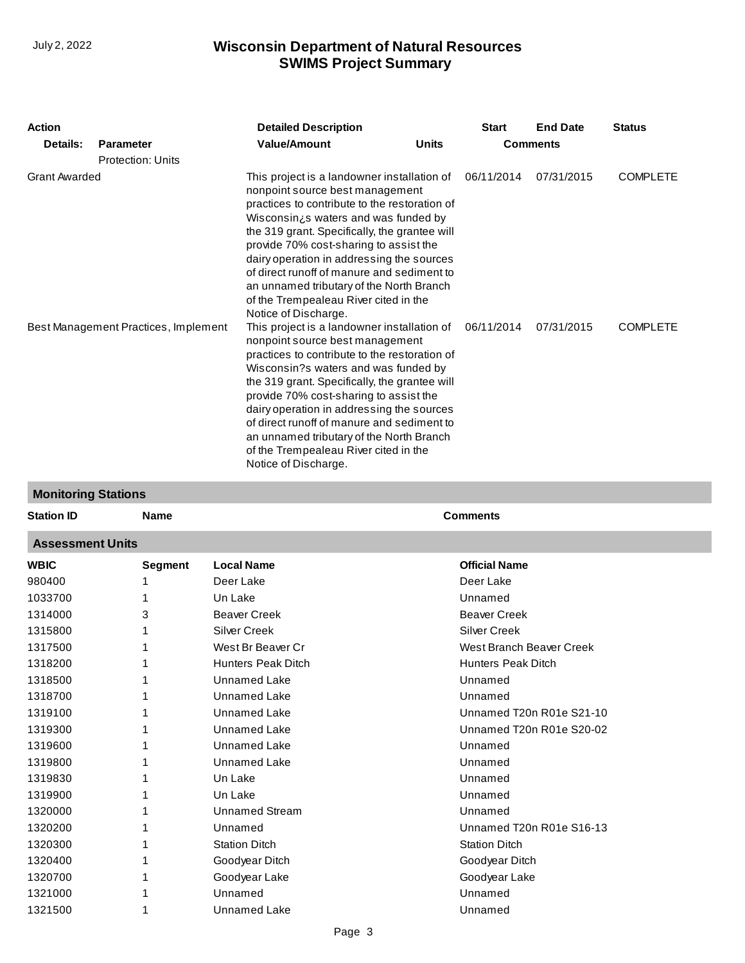| <b>Action</b>        |                                      | <b>Detailed Description</b>                                                                                                                                                                                                                                                                                                                                                                                                                                                             |              | <b>Start</b> | <b>End Date</b> | <b>Status</b>   |
|----------------------|--------------------------------------|-----------------------------------------------------------------------------------------------------------------------------------------------------------------------------------------------------------------------------------------------------------------------------------------------------------------------------------------------------------------------------------------------------------------------------------------------------------------------------------------|--------------|--------------|-----------------|-----------------|
| <b>Details:</b>      | <b>Parameter</b>                     | <b>Value/Amount</b>                                                                                                                                                                                                                                                                                                                                                                                                                                                                     | <b>Units</b> |              | <b>Comments</b> |                 |
|                      | <b>Protection: Units</b>             |                                                                                                                                                                                                                                                                                                                                                                                                                                                                                         |              |              |                 |                 |
| <b>Grant Awarded</b> |                                      | This project is a landowner installation of<br>nonpoint source best management<br>practices to contribute to the restoration of<br>Wisconsin <sub>i</sub> s waters and was funded by<br>the 319 grant. Specifically, the grantee will<br>provide 70% cost-sharing to assist the<br>dairy operation in addressing the sources<br>of direct runoff of manure and sediment to<br>an unnamed tributary of the North Branch<br>of the Trempealeau River cited in the<br>Notice of Discharge. |              | 06/11/2014   | 07/31/2015      | <b>COMPLETE</b> |
|                      | Best Management Practices, Implement | This project is a landowner installation of<br>nonpoint source best management<br>practices to contribute to the restoration of<br>Wisconsin?s waters and was funded by<br>the 319 grant. Specifically, the grantee will<br>provide 70% cost-sharing to assist the<br>dairy operation in addressing the sources<br>of direct runoff of manure and sediment to<br>an unnamed tributary of the North Branch<br>of the Trempealeau River cited in the<br>Notice of Discharge.              |              | 06/11/2014   | 07/31/2015      | <b>COMPLETE</b> |

# **Monitoring Stations**

| <b>Station ID</b>       | <b>Name</b> |                   | <b>Comments</b>      |
|-------------------------|-------------|-------------------|----------------------|
| <b>Assessment Units</b> |             |                   |                      |
| <b>WBIC</b>             | Segment     | <b>Local Name</b> | <b>Official Name</b> |

| <b>WBIC</b> | <b>Segment</b> | <b>Local Name</b>    | <b>Official Name</b>      |
|-------------|----------------|----------------------|---------------------------|
| 980400      |                | Deer Lake            | Deer Lake                 |
| 1033700     | 1              | Un Lake              | Unnamed                   |
| 1314000     | 3              | <b>Beaver Creek</b>  | <b>Beaver Creek</b>       |
| 1315800     | 1              | <b>Silver Creek</b>  | <b>Silver Creek</b>       |
| 1317500     |                | West Br Beaver Cr    | West Branch Beaver Creek  |
| 1318200     |                | Hunters Peak Ditch   | <b>Hunters Peak Ditch</b> |
| 1318500     |                | Unnamed Lake         | Unnamed                   |
| 1318700     |                | <b>Unnamed Lake</b>  | Unnamed                   |
| 1319100     |                | <b>Unnamed Lake</b>  | Unnamed T20n R01e S21-10  |
| 1319300     |                | Unnamed Lake         | Unnamed T20n R01e S20-02  |
| 1319600     |                | Unnamed Lake         | Unnamed                   |
| 1319800     |                | Unnamed Lake         | Unnamed                   |
| 1319830     |                | Un Lake              | Unnamed                   |
| 1319900     |                | Un Lake              | Unnamed                   |
| 1320000     |                | Unnamed Stream       | Unnamed                   |
| 1320200     |                | Unnamed              | Unnamed T20n R01e S16-13  |
| 1320300     |                | <b>Station Ditch</b> | <b>Station Ditch</b>      |
| 1320400     | 1              | Goodyear Ditch       | Goodyear Ditch            |
| 1320700     |                | Goodyear Lake        | Goodyear Lake             |
| 1321000     |                | Unnamed              | Unnamed                   |
| 1321500     | 1              | Unnamed Lake         | Unnamed                   |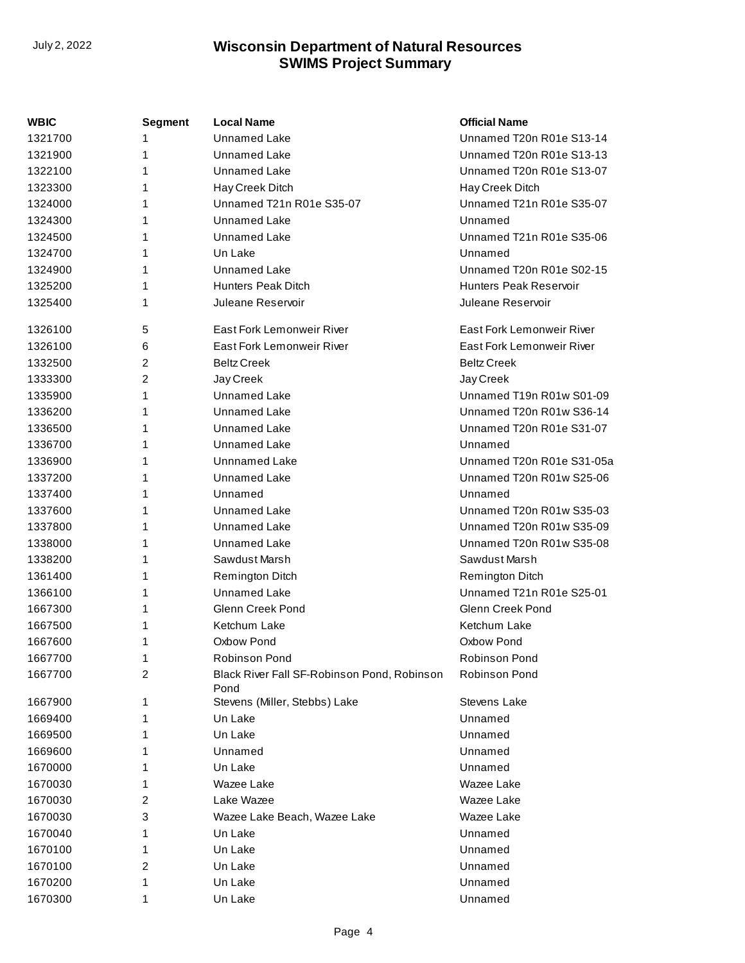| WBIC    | Segment | <b>Local Name</b>                                   | <b>Official Name</b>          |
|---------|---------|-----------------------------------------------------|-------------------------------|
| 1321700 | 1       | <b>Unnamed Lake</b>                                 | Unnamed T20n R01e S13-14      |
| 1321900 | 1       | <b>Unnamed Lake</b>                                 | Unnamed T20n R01e S13-13      |
| 1322100 | 1       | <b>Unnamed Lake</b>                                 | Unnamed T20n R01e S13-07      |
| 1323300 | 1       | Hay Creek Ditch                                     | Hay Creek Ditch               |
| 1324000 | 1       | Unnamed T21n R01e S35-07                            | Unnamed T21n R01e S35-07      |
| 1324300 | 1       | Unnamed Lake                                        | Unnamed                       |
| 1324500 | 1       | <b>Unnamed Lake</b>                                 | Unnamed T21n R01e S35-06      |
| 1324700 | 1       | Un Lake                                             | Unnamed                       |
| 1324900 | 1       | <b>Unnamed Lake</b>                                 | Unnamed T20n R01e S02-15      |
| 1325200 | 1       | <b>Hunters Peak Ditch</b>                           | <b>Hunters Peak Reservoir</b> |
| 1325400 | 1       | Juleane Reservoir                                   | Juleane Reservoir             |
| 1326100 | 5       | East Fork Lemonweir River                           | East Fork Lemonweir River     |
| 1326100 | 6       | East Fork Lemonweir River                           | East Fork Lemonweir River     |
| 1332500 | 2       | <b>Beltz Creek</b>                                  | <b>Beltz Creek</b>            |
| 1333300 | 2       | Jay Creek                                           | Jay Creek                     |
| 1335900 | 1       | <b>Unnamed Lake</b>                                 | Unnamed T19n R01w S01-09      |
| 1336200 | 1       | <b>Unnamed Lake</b>                                 | Unnamed T20n R01w S36-14      |
| 1336500 | 1       | Unnamed Lake                                        | Unnamed T20n R01e S31-07      |
| 1336700 | 1       | <b>Unnamed Lake</b>                                 | Unnamed                       |
| 1336900 | 1       | Unnnamed Lake                                       | Unnamed T20n R01e S31-05a     |
| 1337200 | 1       | <b>Unnamed Lake</b>                                 | Unnamed T20n R01w S25-06      |
| 1337400 | 1       | Unnamed                                             | Unnamed                       |
| 1337600 | 1       | <b>Unnamed Lake</b>                                 | Unnamed T20n R01w S35-03      |
| 1337800 | 1       | <b>Unnamed Lake</b>                                 | Unnamed T20n R01w S35-09      |
| 1338000 | 1       | <b>Unnamed Lake</b>                                 | Unnamed T20n R01w S35-08      |
| 1338200 | 1       | Sawdust Marsh                                       | Sawdust Marsh                 |
| 1361400 | 1       | Remington Ditch                                     | Remington Ditch               |
| 1366100 | 1       | <b>Unnamed Lake</b>                                 | Unnamed T21n R01e S25-01      |
| 1667300 | 1       | <b>Glenn Creek Pond</b>                             | <b>Glenn Creek Pond</b>       |
| 1667500 | 1       | Ketchum Lake                                        | Ketchum Lake                  |
| 1667600 | 1       | Oxbow Pond                                          | Oxbow Pond                    |
| 1667700 | 1       | Robinson Pond                                       | Robinson Pond                 |
| 1667700 | 2       | Black River Fall SF-Robinson Pond, Robinson<br>Pond | Robinson Pond                 |
| 1667900 | 1       | Stevens (Miller, Stebbs) Lake                       | Stevens Lake                  |
| 1669400 | 1       | Un Lake                                             | Unnamed                       |
| 1669500 | 1       | Un Lake                                             | Unnamed                       |
| 1669600 |         | Unnamed                                             | Unnamed                       |
| 1670000 | 1       | Un Lake                                             | Unnamed                       |
| 1670030 | 1       | Wazee Lake                                          | Wazee Lake                    |
| 1670030 | 2       | Lake Wazee                                          | Wazee Lake                    |
| 1670030 | 3       | Wazee Lake Beach, Wazee Lake                        | Wazee Lake                    |
| 1670040 | 1       | Un Lake                                             | Unnamed                       |
| 1670100 | 1       | Un Lake                                             | Unnamed                       |
| 1670100 | 2       | Un Lake                                             | Unnamed                       |
| 1670200 | 1       | Un Lake                                             | Unnamed                       |
| 1670300 | 1       | Un Lake                                             | Unnamed                       |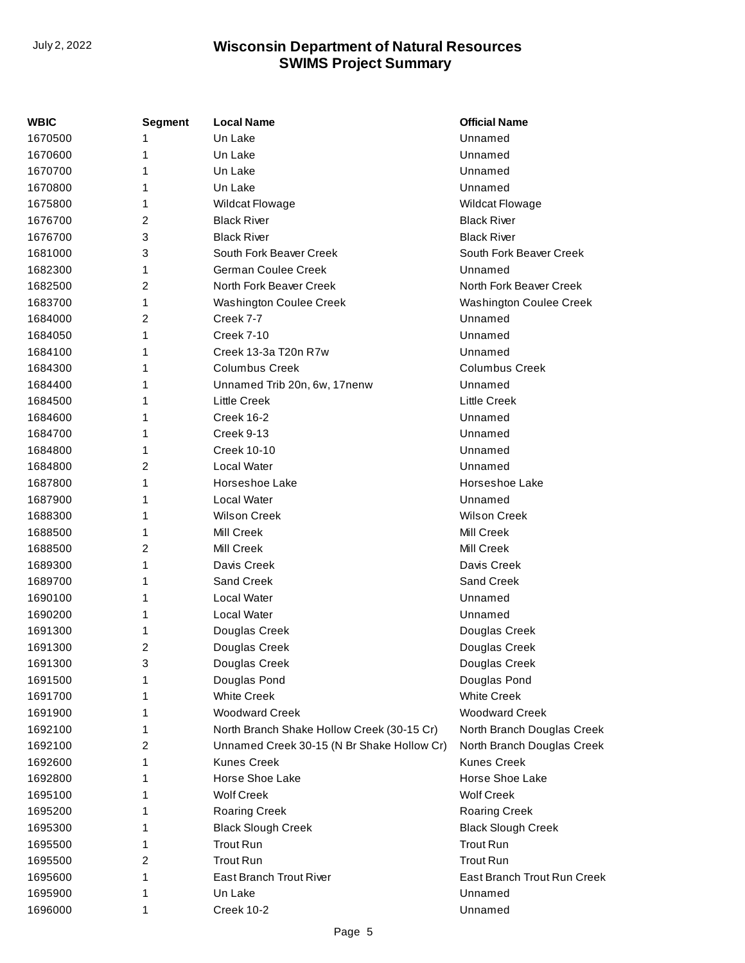| WBIC    | Segment | <b>Local Name</b>                          | <b>Official Name</b>        |
|---------|---------|--------------------------------------------|-----------------------------|
| 1670500 | 1       | Un Lake                                    | Unnamed                     |
| 1670600 | 1       | Un Lake                                    | Unnamed                     |
| 1670700 | 1       | Un Lake                                    | Unnamed                     |
| 1670800 | 1       | Un Lake                                    | Unnamed                     |
| 1675800 | 1       | <b>Wildcat Flowage</b>                     | <b>Wildcat Flowage</b>      |
| 1676700 | 2       | <b>Black River</b>                         | <b>Black River</b>          |
| 1676700 | 3       | <b>Black River</b>                         | <b>Black River</b>          |
| 1681000 | 3       | South Fork Beaver Creek                    | South Fork Beaver Creek     |
| 1682300 | 1       | <b>German Coulee Creek</b>                 | Unnamed                     |
| 1682500 | 2       | North Fork Beaver Creek                    | North Fork Beaver Creek     |
| 1683700 | 1       | Washington Coulee Creek                    | Washington Coulee Creek     |
| 1684000 | 2       | Creek 7-7                                  | Unnamed                     |
| 1684050 | 1       | <b>Creek 7-10</b>                          | Unnamed                     |
| 1684100 | 1       | Creek 13-3a T20n R7w                       | Unnamed                     |
| 1684300 | 1       | <b>Columbus Creek</b>                      | Columbus Creek              |
| 1684400 | 1       | Unnamed Trib 20n, 6w, 17nenw               | Unnamed                     |
| 1684500 | 1       | <b>Little Creek</b>                        | <b>Little Creek</b>         |
| 1684600 | 1       | Creek 16-2                                 | Unnamed                     |
| 1684700 | 1       | <b>Creek 9-13</b>                          | Unnamed                     |
| 1684800 | 1       | <b>Creek 10-10</b>                         | Unnamed                     |
| 1684800 | 2       | Local Water                                | Unnamed                     |
| 1687800 | 1       | Horseshoe Lake                             | Horseshoe Lake              |
| 1687900 | 1       | Local Water                                | Unnamed                     |
| 1688300 | 1       | <b>Wilson Creek</b>                        | <b>Wilson Creek</b>         |
| 1688500 | 1       | Mill Creek                                 | Mill Creek                  |
| 1688500 | 2       | Mill Creek                                 | Mill Creek                  |
| 1689300 | 1       | Davis Creek                                | Davis Creek                 |
| 1689700 | 1       | Sand Creek                                 | Sand Creek                  |
| 1690100 | 1       | Local Water                                | Unnamed                     |
| 1690200 | 1       | Local Water                                | Unnamed                     |
| 1691300 | 1       | Douglas Creek                              | Douglas Creek               |
| 1691300 | 2       | Douglas Creek                              | Douglas Creek               |
| 1691300 | 3       | Douglas Creek                              | Douglas Creek               |
| 1691500 | 1       | Douglas Pond                               | Douglas Pond                |
| 1691700 | 1       | <b>White Creek</b>                         | <b>White Creek</b>          |
| 1691900 | 1       | <b>Woodward Creek</b>                      | <b>Woodward Creek</b>       |
| 1692100 | 1       | North Branch Shake Hollow Creek (30-15 Cr) | North Branch Douglas Creek  |
| 1692100 | 2       | Unnamed Creek 30-15 (N Br Shake Hollow Cr) | North Branch Douglas Creek  |
| 1692600 | 1       | Kunes Creek                                | <b>Kunes Creek</b>          |
| 1692800 | 1       | Horse Shoe Lake                            | Horse Shoe Lake             |
| 1695100 | 1       | <b>Wolf Creek</b>                          | <b>Wolf Creek</b>           |
| 1695200 | 1       | <b>Roaring Creek</b>                       | <b>Roaring Creek</b>        |
| 1695300 | 1       | <b>Black Slough Creek</b>                  | <b>Black Slough Creek</b>   |
| 1695500 | 1       | <b>Trout Run</b>                           | <b>Trout Run</b>            |
| 1695500 | 2       | <b>Trout Run</b>                           | <b>Trout Run</b>            |
| 1695600 | 1       | East Branch Trout River                    | East Branch Trout Run Creek |
| 1695900 | 1       | Un Lake                                    | Unnamed                     |
| 1696000 | 1       | Creek 10-2                                 | Unnamed                     |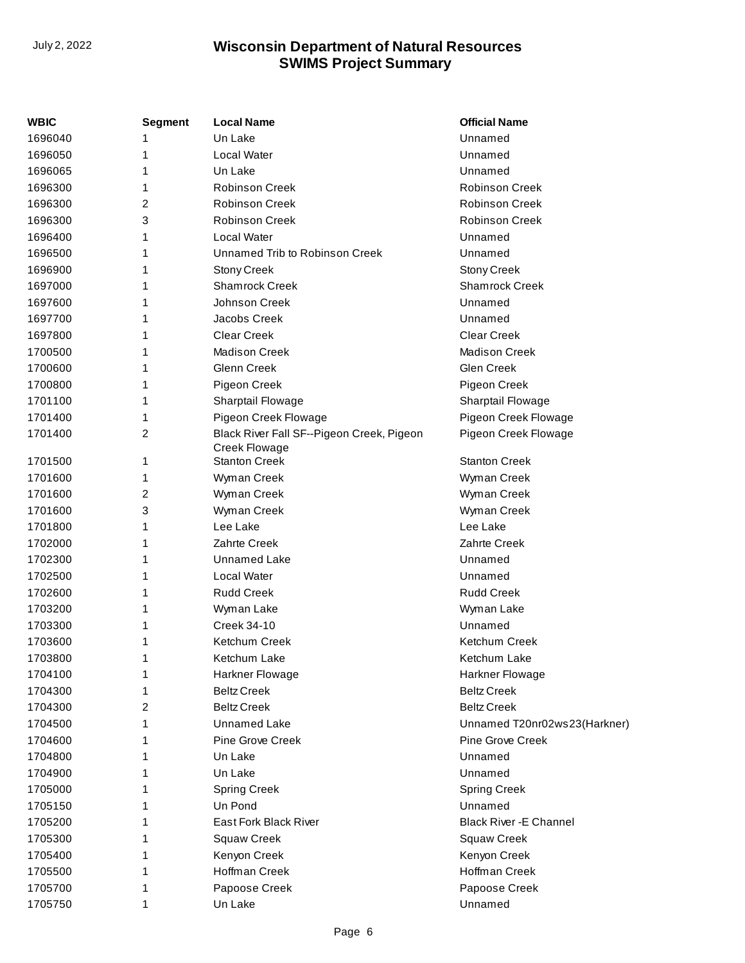| <b>WBIC</b> | <b>Segment</b> | <b>Local Name</b>                                          | <b>Official Name</b>           |
|-------------|----------------|------------------------------------------------------------|--------------------------------|
| 1696040     |                | Un Lake                                                    | Unnamed                        |
| 1696050     | 1              | Local Water                                                | Unnamed                        |
| 1696065     |                | Un Lake                                                    | Unnamed                        |
| 1696300     | 1              | <b>Robinson Creek</b>                                      | <b>Robinson Creek</b>          |
| 1696300     | 2              | <b>Robinson Creek</b>                                      | <b>Robinson Creek</b>          |
| 1696300     | 3              | <b>Robinson Creek</b>                                      | <b>Robinson Creek</b>          |
| 1696400     | 1              | <b>Local Water</b>                                         | Unnamed                        |
| 1696500     | 1              | Unnamed Trib to Robinson Creek                             | Unnamed                        |
| 1696900     | 1              | <b>Stony Creek</b>                                         | <b>Stony Creek</b>             |
| 1697000     | 1              | <b>Shamrock Creek</b>                                      | <b>Shamrock Creek</b>          |
| 1697600     | 1              | Johnson Creek                                              | Unnamed                        |
| 1697700     | 1              | Jacobs Creek                                               | Unnamed                        |
| 1697800     | 1              | <b>Clear Creek</b>                                         | <b>Clear Creek</b>             |
| 1700500     | 1              | <b>Madison Creek</b>                                       | <b>Madison Creek</b>           |
| 1700600     | 1              | Glenn Creek                                                | Glen Creek                     |
| 1700800     | 1              | Pigeon Creek                                               | Pigeon Creek                   |
| 1701100     | 1              | Sharptail Flowage                                          | Sharptail Flowage              |
| 1701400     | 1              | Pigeon Creek Flowage                                       | Pigeon Creek Flowage           |
| 1701400     | 2              | Black River Fall SF--Pigeon Creek, Pigeon<br>Creek Flowage | Pigeon Creek Flowage           |
| 1701500     | 1              | <b>Stanton Creek</b>                                       | <b>Stanton Creek</b>           |
| 1701600     | 1              | Wyman Creek                                                | Wyman Creek                    |
| 1701600     | 2              | Wyman Creek                                                | Wyman Creek                    |
| 1701600     | 3              | Wyman Creek                                                | Wyman Creek                    |
| 1701800     | 1              | Lee Lake                                                   | Lee Lake                       |
| 1702000     | 1              | Zahrte Creek                                               | Zahrte Creek                   |
| 1702300     | 1              | Unnamed Lake                                               | Unnamed                        |
| 1702500     | 1              | Local Water                                                | Unnamed                        |
| 1702600     | 1              | <b>Rudd Creek</b>                                          | <b>Rudd Creek</b>              |
| 1703200     |                | Wyman Lake                                                 | Wyman Lake                     |
| 1703300     | 1              | Creek 34-10                                                | Unnamed                        |
| 1703600     | 1              | Ketchum Creek                                              | Ketchum Creek                  |
| 1703800     | 1              | Ketchum Lake                                               | Ketchum Lake                   |
| 1704100     | 1              | Harkner Flowage                                            | Harkner Flowage                |
| 1704300     | 1              | <b>Beltz Creek</b>                                         | <b>Beltz Creek</b>             |
| 1704300     | 2              | <b>Beltz Creek</b>                                         | <b>Beltz Creek</b>             |
| 1704500     | 1              | Unnamed Lake                                               | Unnamed T20nr02ws23(Harkner)   |
| 1704600     |                | Pine Grove Creek                                           | Pine Grove Creek               |
| 1704800     |                | Un Lake                                                    | Unnamed                        |
| 1704900     |                | Un Lake                                                    | Unnamed                        |
| 1705000     | 1              | <b>Spring Creek</b>                                        | <b>Spring Creek</b>            |
| 1705150     |                | Un Pond                                                    | Unnamed                        |
| 1705200     | 1              | East Fork Black River                                      | <b>Black River - E Channel</b> |
| 1705300     | 1              | <b>Squaw Creek</b>                                         | Squaw Creek                    |
| 1705400     | 1              | Kenyon Creek                                               | Kenyon Creek                   |
| 1705500     |                | Hoffman Creek                                              | Hoffman Creek                  |
| 1705700     | 1              | Papoose Creek                                              | Papoose Creek                  |
| 1705750     | 1              | Un Lake                                                    | Unnamed                        |
|             |                |                                                            |                                |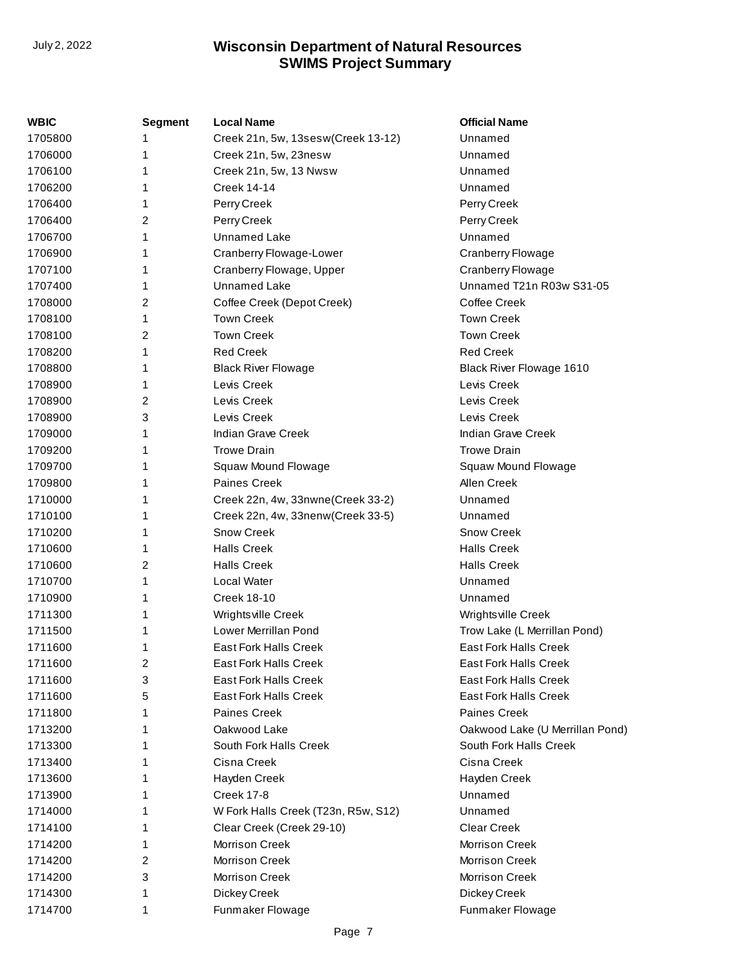| <b>WBIC</b> | <b>Segment</b> | <b>Local Name</b>                   | <b>Official Name</b>            |
|-------------|----------------|-------------------------------------|---------------------------------|
| 1705800     |                | Creek 21n, 5w, 13sesw(Creek 13-12)  | Unnamed                         |
| 1706000     | 1              | Creek 21n, 5w, 23nesw               | Unnamed                         |
| 1706100     | 1              | Creek 21n, 5w, 13 Nwsw              | Unnamed                         |
| 1706200     | 1              | <b>Creek 14-14</b>                  | Unnamed                         |
| 1706400     | 1              | Perry Creek                         | Perry Creek                     |
| 1706400     | 2              | Perry Creek                         | Perry Creek                     |
| 1706700     | 1              | <b>Unnamed Lake</b>                 | Unnamed                         |
| 1706900     | 1              | Cranberry Flowage-Lower             | Cranberry Flowage               |
| 1707100     | 1              | Cranberry Flowage, Upper            | Cranberry Flowage               |
| 1707400     | 1              | <b>Unnamed Lake</b>                 | Unnamed T21n R03w S31-05        |
| 1708000     | 2              | Coffee Creek (Depot Creek)          | Coffee Creek                    |
| 1708100     | 1              | <b>Town Creek</b>                   | <b>Town Creek</b>               |
| 1708100     | 2              | <b>Town Creek</b>                   | <b>Town Creek</b>               |
| 1708200     | 1              | <b>Red Creek</b>                    | <b>Red Creek</b>                |
| 1708800     | 1              | <b>Black River Flowage</b>          | Black River Flowage 1610        |
| 1708900     | 1              | Levis Creek                         | Levis Creek                     |
| 1708900     | 2              | Levis Creek                         | Levis Creek                     |
| 1708900     | 3              | Levis Creek                         | Levis Creek                     |
| 1709000     | 1              | Indian Grave Creek                  | <b>Indian Grave Creek</b>       |
| 1709200     | 1              | Trowe Drain                         | <b>Trowe Drain</b>              |
| 1709700     | 1              | Squaw Mound Flowage                 | Squaw Mound Flowage             |
| 1709800     | 1              | Paines Creek                        | Allen Creek                     |
| 1710000     | 1              | Creek 22n, 4w, 33nwne(Creek 33-2)   | Unnamed                         |
| 1710100     | 1              | Creek 22n, 4w, 33nenw(Creek 33-5)   | Unnamed                         |
| 1710200     | 1              | Snow Creek                          | <b>Snow Creek</b>               |
| 1710600     | 1              | <b>Halls Creek</b>                  | <b>Halls Creek</b>              |
| 1710600     | 2              | <b>Halls Creek</b>                  | <b>Halls Creek</b>              |
| 1710700     | 1              | Local Water                         | Unnamed                         |
| 1710900     | 1              | <b>Creek 18-10</b>                  | Unnamed                         |
| 1711300     | 1              | Wrights ville Creek                 | Wrights ville Creek             |
| 1711500     | 1              | Lower Merrillan Pond                | Trow Lake (L Merrillan Pond)    |
| 1711600     | 1              | <b>East Fork Halls Creek</b>        | <b>East Fork Halls Creek</b>    |
| 1711600     | 2              | East Fork Halls Creek               | <b>East Fork Halls Creek</b>    |
| 1711600     | 3              | <b>East Fork Halls Creek</b>        | <b>East Fork Halls Creek</b>    |
| 1711600     | 5              | East Fork Halls Creek               | East Fork Halls Creek           |
| 1711800     | 1              | Paines Creek                        | Paines Creek                    |
| 1713200     | 1              | Oakwood Lake                        | Oakwood Lake (U Merrillan Pond) |
| 1713300     | 1              | South Fork Halls Creek              | South Fork Halls Creek          |
| 1713400     | 1              | Cisna Creek                         | Cisna Creek                     |
| 1713600     | 1              | Hayden Creek                        | Hayden Creek                    |
| 1713900     | 1              | <b>Creek 17-8</b>                   | Unnamed                         |
| 1714000     | 1              | W Fork Halls Creek (T23n, R5w, S12) | Unnamed                         |
| 1714100     | 1              | Clear Creek (Creek 29-10)           | <b>Clear Creek</b>              |
| 1714200     | 1              | <b>Morrison Creek</b>               | <b>Morrison Creek</b>           |
| 1714200     | 2              | Morrison Creek                      | <b>Morrison Creek</b>           |
| 1714200     | 3              | <b>Morrison Creek</b>               | <b>Morrison Creek</b>           |
| 1714300     | 1              | Dickey Creek                        | Dickey Creek                    |
| 1714700     | 1              | Funmaker Flowage                    | Funmaker Flowage                |
|             |                |                                     |                                 |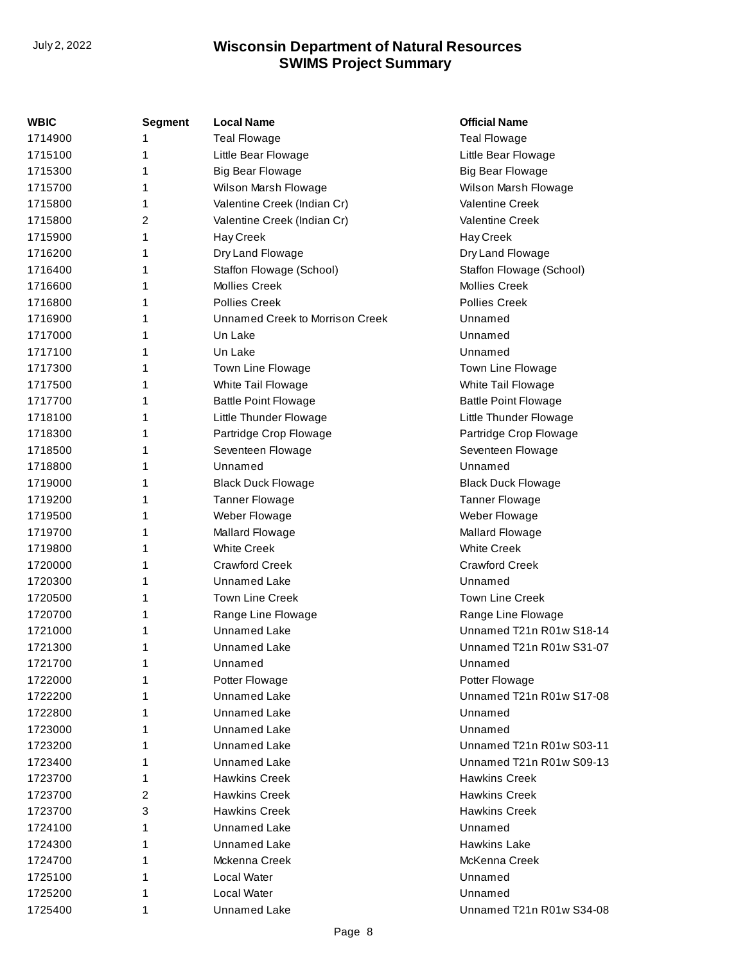| WBIC    | <b>Segment</b> | <b>Local Name</b>               | <b>Official Name</b>        |
|---------|----------------|---------------------------------|-----------------------------|
| 1714900 | 1              | <b>Teal Flowage</b>             | <b>Teal Flowage</b>         |
| 1715100 | 1              | Little Bear Flowage             | Little Bear Flowage         |
| 1715300 | 1              | <b>Big Bear Flowage</b>         | <b>Big Bear Flowage</b>     |
| 1715700 | 1              | Wilson Marsh Flowage            | Wilson Marsh Flowage        |
| 1715800 | 1              | Valentine Creek (Indian Cr)     | <b>Valentine Creek</b>      |
| 1715800 | $\overline{c}$ | Valentine Creek (Indian Cr)     | <b>Valentine Creek</b>      |
| 1715900 | 1              | Hay Creek                       | Hay Creek                   |
| 1716200 | 1              | Dry Land Flowage                | Dry Land Flowage            |
| 1716400 | 1              | Staffon Flowage (School)        | Staffon Flowage (School)    |
| 1716600 | 1              | <b>Mollies Creek</b>            | <b>Mollies Creek</b>        |
| 1716800 | 1              | <b>Pollies Creek</b>            | <b>Pollies Creek</b>        |
| 1716900 | 1              | Unnamed Creek to Morrison Creek | Unnamed                     |
| 1717000 | 1              | Un Lake                         | Unnamed                     |
| 1717100 | 1              | Un Lake                         | Unnamed                     |
| 1717300 | 1              | Town Line Flowage               | Town Line Flowage           |
| 1717500 | 1              | White Tail Flowage              | White Tail Flowage          |
| 1717700 | 1              | <b>Battle Point Flowage</b>     | <b>Battle Point Flowage</b> |
| 1718100 | 1              | Little Thunder Flowage          | Little Thunder Flowage      |
| 1718300 | 1              | Partridge Crop Flowage          | Partridge Crop Flowage      |
| 1718500 | 1              | Seventeen Flowage               | Seventeen Flowage           |
| 1718800 | 1              | Unnamed                         | Unnamed                     |
| 1719000 | 1              | <b>Black Duck Flowage</b>       | <b>Black Duck Flowage</b>   |
| 1719200 | 1              | <b>Tanner Flowage</b>           | <b>Tanner Flowage</b>       |
| 1719500 | 1              | Weber Flowage                   | Weber Flowage               |
| 1719700 | 1              | Mallard Flowage                 | Mallard Flowage             |
| 1719800 | 1              | <b>White Creek</b>              | <b>White Creek</b>          |
| 1720000 | 1              | <b>Crawford Creek</b>           | <b>Crawford Creek</b>       |
| 1720300 | 1              | <b>Unnamed Lake</b>             | Unnamed                     |
| 1720500 | 1              | <b>Town Line Creek</b>          | <b>Town Line Creek</b>      |
| 1720700 | 1              | Range Line Flowage              | Range Line Flowage          |
| 1721000 | 1              | <b>Unnamed Lake</b>             | Unnamed T21n R01w S18-14    |
| 1721300 | 1              | Unnamed Lake                    | Unnamed T21n R01w S31-07    |
| 1721700 | 1              | Unnamed                         | Unnamed                     |
| 1722000 |                | Potter Flowage                  | Potter Flowage              |
| 1722200 |                | <b>Unnamed Lake</b>             | Unnamed T21n R01w S17-08    |
| 1722800 |                | <b>Unnamed Lake</b>             | Unnamed                     |
| 1723000 |                | <b>Unnamed Lake</b>             | Unnamed                     |
| 1723200 |                | <b>Unnamed Lake</b>             | Unnamed T21n R01w S03-11    |
| 1723400 |                | <b>Unnamed Lake</b>             | Unnamed T21n R01w S09-13    |
| 1723700 | 1              | <b>Hawkins Creek</b>            | <b>Hawkins Creek</b>        |
| 1723700 | 2              | <b>Hawkins Creek</b>            | <b>Hawkins Creek</b>        |
| 1723700 | 3              | <b>Hawkins Creek</b>            | <b>Hawkins Creek</b>        |
| 1724100 | 1              | Unnamed Lake                    | Unnamed                     |
| 1724300 |                | Unnamed Lake                    | <b>Hawkins Lake</b>         |
| 1724700 |                | Mckenna Creek                   | McKenna Creek               |
| 1725100 |                | Local Water                     | Unnamed                     |
| 1725200 | 1              | Local Water                     | Unnamed                     |
| 1725400 | 1              | <b>Unnamed Lake</b>             | Unnamed T21n R01w S34-08    |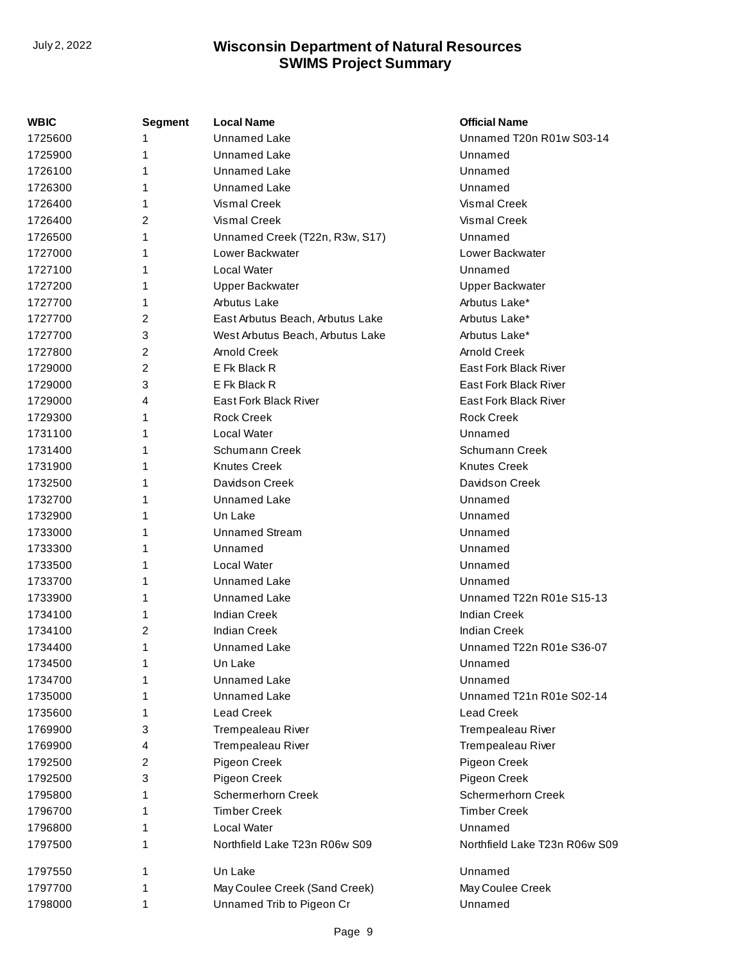| WBIC    | <b>Segment</b> | <b>Local Name</b>                | <b>Official Name</b>          |
|---------|----------------|----------------------------------|-------------------------------|
| 1725600 | 1              | Unnamed Lake                     | Unnamed T20n R01w S03-14      |
| 1725900 | 1              | Unnamed Lake                     | Unnamed                       |
| 1726100 | 1              | Unnamed Lake                     | Unnamed                       |
| 1726300 | 1              | Unnamed Lake                     | Unnamed                       |
| 1726400 | 1              | Vismal Creek                     | Vismal Creek                  |
| 1726400 | 2              | <b>Vismal Creek</b>              | Vismal Creek                  |
| 1726500 | 1              | Unnamed Creek (T22n, R3w, S17)   | Unnamed                       |
| 1727000 | 1              | Lower Backwater                  | Lower Backwater               |
| 1727100 | 1              | Local Water                      | Unnamed                       |
| 1727200 | 1              | Upper Backwater                  | Upper Backwater               |
| 1727700 | 1              | Arbutus Lake                     | Arbutus Lake*                 |
| 1727700 | 2              | East Arbutus Beach, Arbutus Lake | Arbutus Lake*                 |
| 1727700 | 3              | West Arbutus Beach, Arbutus Lake | Arbutus Lake*                 |
| 1727800 | $\overline{c}$ | Arnold Creek                     | <b>Arnold Creek</b>           |
| 1729000 | 2              | E Fk Black R                     | East Fork Black River         |
| 1729000 | 3              | E Fk Black R                     | East Fork Black River         |
| 1729000 | 4              | East Fork Black River            | East Fork Black River         |
| 1729300 | 1              | <b>Rock Creek</b>                | <b>Rock Creek</b>             |
| 1731100 | 1              | Local Water                      | Unnamed                       |
| 1731400 | 1              | Schumann Creek                   | Schumann Creek                |
| 1731900 | 1              | <b>Knutes Creek</b>              | <b>Knutes Creek</b>           |
| 1732500 | 1              | Davidson Creek                   | Davidson Creek                |
| 1732700 | 1              | Unnamed Lake                     | Unnamed                       |
| 1732900 | 1              | Un Lake                          | Unnamed                       |
| 1733000 | 1              | <b>Unnamed Stream</b>            | Unnamed                       |
| 1733300 |                | Unnamed                          | Unnamed                       |
| 1733500 | 1              | Local Water                      | Unnamed                       |
| 1733700 | 1              | Unnamed Lake                     | Unnamed                       |
| 1733900 | 1              | Unnamed Lake                     | Unnamed T22n R01e S15-13      |
| 1734100 | 1              | <b>Indian Creek</b>              | <b>Indian Creek</b>           |
| 1734100 | 2              | <b>Indian Creek</b>              | <b>Indian Creek</b>           |
| 1734400 | 1              | Unnamed Lake                     | Unnamed T22n R01e S36-07      |
| 1734500 | 1              | Un Lake                          | Unnamed                       |
| 1734700 |                | Unnamed Lake                     | Unnamed                       |
| 1735000 | 1              | Unnamed Lake                     | Unnamed T21n R01e S02-14      |
| 1735600 | 1              | <b>Lead Creek</b>                | <b>Lead Creek</b>             |
| 1769900 | 3              | Trempealeau River                | Trempealeau River             |
| 1769900 | 4              | Trempealeau River                | Trempealeau River             |
| 1792500 | 2              | Pigeon Creek                     | Pigeon Creek                  |
| 1792500 | 3              | Pigeon Creek                     | Pigeon Creek                  |
| 1795800 | 1              | Schermerhorn Creek               | Schermerhorn Creek            |
| 1796700 | 1              | <b>Timber Creek</b>              | <b>Timber Creek</b>           |
| 1796800 | 1              | Local Water                      | Unnamed                       |
| 1797500 | 1              | Northfield Lake T23n R06w S09    | Northfield Lake T23n R06w S09 |
| 1797550 | 1              | Un Lake                          | Unnamed                       |
| 1797700 | 1              | May Coulee Creek (Sand Creek)    | May Coulee Creek              |
| 1798000 | 1              | Unnamed Trib to Pigeon Cr        | Unnamed                       |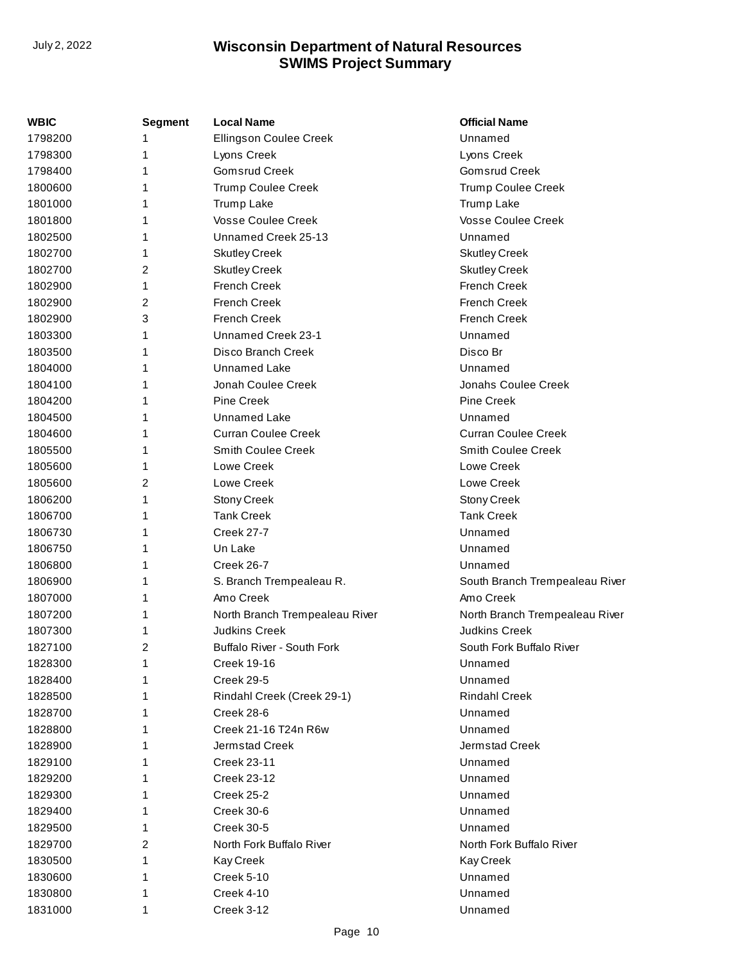| WBIC    | <b>Segment</b> | <b>Local Name</b>                 | <b>Official Name</b>           |
|---------|----------------|-----------------------------------|--------------------------------|
| 1798200 |                | <b>Ellingson Coulee Creek</b>     | Unnamed                        |
| 1798300 | 1              | Lyons Creek                       | Lyons Creek                    |
| 1798400 | 1              | <b>Gomsrud Creek</b>              | <b>Gomsrud Creek</b>           |
| 1800600 | 1              | <b>Trump Coulee Creek</b>         | <b>Trump Coulee Creek</b>      |
| 1801000 | 1              | <b>Trump Lake</b>                 | <b>Trump Lake</b>              |
| 1801800 | 1              | Vosse Coulee Creek                | <b>Vosse Coulee Creek</b>      |
| 1802500 | 1              | Unnamed Creek 25-13               | Unnamed                        |
| 1802700 | 1              | <b>Skutley Creek</b>              | <b>Skutley Creek</b>           |
| 1802700 | 2              | <b>Skutley Creek</b>              | <b>Skutley Creek</b>           |
| 1802900 | 1              | <b>French Creek</b>               | <b>French Creek</b>            |
| 1802900 | 2              | <b>French Creek</b>               | <b>French Creek</b>            |
| 1802900 | 3              | <b>French Creek</b>               | <b>French Creek</b>            |
| 1803300 | 1              | Unnamed Creek 23-1                | Unnamed                        |
| 1803500 | 1              | Disco Branch Creek                | Disco Br                       |
| 1804000 | 1              | <b>Unnamed Lake</b>               | Unnamed                        |
| 1804100 | 1              | Jonah Coulee Creek                | Jonahs Coulee Creek            |
| 1804200 | 1              | <b>Pine Creek</b>                 | Pine Creek                     |
| 1804500 | 1              | Unnamed Lake                      | Unnamed                        |
| 1804600 | 1              | <b>Curran Coulee Creek</b>        | <b>Curran Coulee Creek</b>     |
| 1805500 | 1              | <b>Smith Coulee Creek</b>         | <b>Smith Coulee Creek</b>      |
| 1805600 | 1              | Lowe Creek                        | Lowe Creek                     |
| 1805600 | 2              | Lowe Creek                        | Lowe Creek                     |
| 1806200 | 1              | <b>Stony Creek</b>                | <b>Stony Creek</b>             |
| 1806700 | 1              | <b>Tank Creek</b>                 | <b>Tank Creek</b>              |
| 1806730 | 1              | <b>Creek 27-7</b>                 | Unnamed                        |
| 1806750 | 1              | Un Lake                           | Unnamed                        |
| 1806800 | 1              | Creek 26-7                        | Unnamed                        |
| 1806900 | 1              | S. Branch Trempealeau R.          | South Branch Trempealeau River |
| 1807000 | 1              | Amo Creek                         | Amo Creek                      |
| 1807200 | 1              | North Branch Trempealeau River    | North Branch Trempealeau River |
| 1807300 | 1              | <b>Judkins Creek</b>              | <b>Judkins Creek</b>           |
| 1827100 | 2              | <b>Buffalo River - South Fork</b> | South Fork Buffalo River       |
| 1828300 | 1              | <b>Creek 19-16</b>                | Unnamed                        |
| 1828400 |                | <b>Creek 29-5</b>                 | Unnamed                        |
| 1828500 |                | Rindahl Creek (Creek 29-1)        | <b>Rindahl Creek</b>           |
| 1828700 | 1              | Creek 28-6                        | Unnamed                        |
| 1828800 | 1              | Creek 21-16 T24n R6w              | Unnamed                        |
| 1828900 | 1              | Jermstad Creek                    | Jermstad Creek                 |
| 1829100 | 1              | <b>Creek 23-11</b>                | Unnamed                        |
| 1829200 | 1              | Creek 23-12                       | Unnamed                        |
| 1829300 | 1              | <b>Creek 25-2</b>                 | Unnamed                        |
| 1829400 | 1              | Creek 30-6                        | Unnamed                        |
| 1829500 | 1              | <b>Creek 30-5</b>                 | Unnamed                        |
| 1829700 | 2              | North Fork Buffalo River          | North Fork Buffalo River       |
| 1830500 | 1              | Kay Creek                         | Kay Creek                      |
| 1830600 | 1              | Creek 5-10                        | Unnamed                        |
| 1830800 | 1              | Creek 4-10                        | Unnamed                        |
| 1831000 | 1              | Creek 3-12                        | Unnamed                        |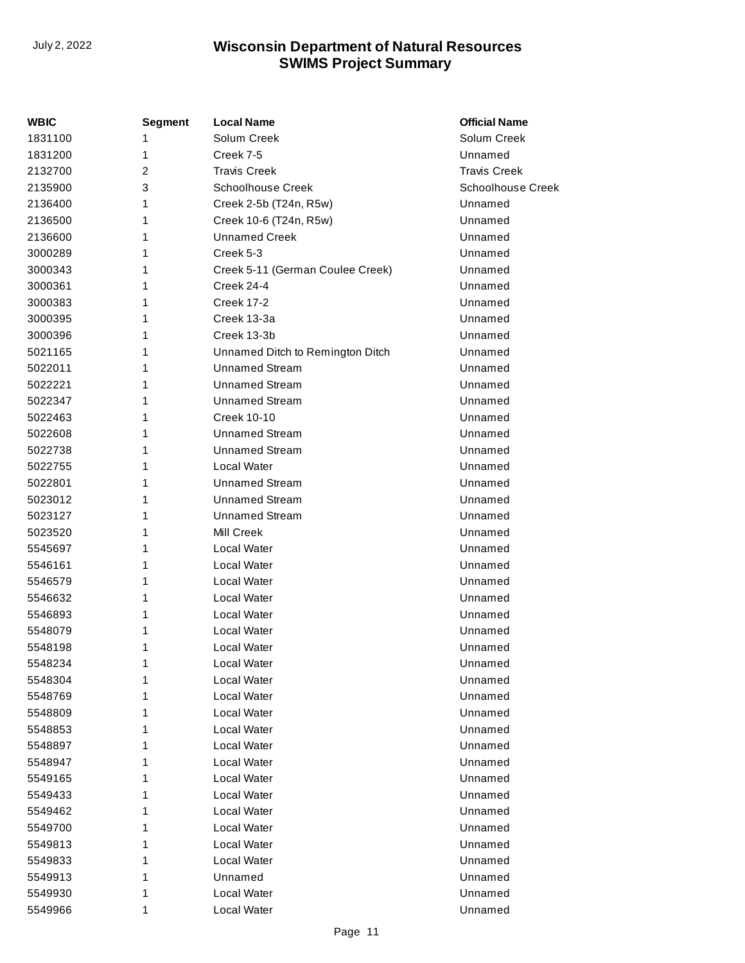| WBIC    | <b>Segment</b> | <b>Local Name</b>                | <b>Official Name</b> |
|---------|----------------|----------------------------------|----------------------|
| 1831100 | 1              | Solum Creek                      | Solum Creek          |
| 1831200 | 1              | Creek 7-5                        | Unnamed              |
| 2132700 | 2              | <b>Travis Creek</b>              | <b>Travis Creek</b>  |
| 2135900 | 3              | Schoolhouse Creek                | Schoolhouse Creek    |
| 2136400 | 1              | Creek 2-5b (T24n, R5w)           | Unnamed              |
| 2136500 | 1              | Creek 10-6 (T24n, R5w)           | Unnamed              |
| 2136600 | 1              | <b>Unnamed Creek</b>             | Unnamed              |
| 3000289 | 1              | Creek 5-3                        | Unnamed              |
| 3000343 | 1              | Creek 5-11 (German Coulee Creek) | Unnamed              |
| 3000361 | 1              | Creek 24-4                       | Unnamed              |
| 3000383 | 1              | <b>Creek 17-2</b>                | Unnamed              |
| 3000395 | 1              | Creek 13-3a                      | Unnamed              |
| 3000396 | 1              | Creek 13-3b                      | Unnamed              |
| 5021165 | 1              | Unnamed Ditch to Remington Ditch | Unnamed              |
| 5022011 | 1              | <b>Unnamed Stream</b>            | Unnamed              |
| 5022221 | 1              | <b>Unnamed Stream</b>            | Unnamed              |
| 5022347 | 1              | <b>Unnamed Stream</b>            | Unnamed              |
| 5022463 | 1              | <b>Creek 10-10</b>               | Unnamed              |
| 5022608 | 1              | Unnamed Stream                   | Unnamed              |
| 5022738 | 1              | <b>Unnamed Stream</b>            | Unnamed              |
| 5022755 | 1              | Local Water                      | Unnamed              |
| 5022801 | 1              | <b>Unnamed Stream</b>            | Unnamed              |
| 5023012 | 1              | <b>Unnamed Stream</b>            | Unnamed              |
| 5023127 | 1              | <b>Unnamed Stream</b>            | Unnamed              |
| 5023520 | 1              | Mill Creek                       | Unnamed              |
| 5545697 | 1              | Local Water                      | Unnamed              |
| 5546161 | 1              | Local Water                      | Unnamed              |
| 5546579 | 1              | Local Water                      | Unnamed              |
| 5546632 | 1              | Local Water                      | Unnamed              |
| 5546893 | 1              | Local Water                      | Unnamed              |
| 5548079 | 1              | Local Water                      | Unnamed              |
| 5548198 | 1              | Local Water                      | Unnamed              |
| 5548234 | 1              | Local Water                      | Unnamed              |
| 5548304 | 1              | Local Water                      | Unnamed              |
| 5548769 | 1              | Local Water                      | Unnamed              |
| 5548809 | 1              | Local Water                      | Unnamed              |
| 5548853 | 1              | Local Water                      | Unnamed              |
| 5548897 | 1              | Local Water                      | Unnamed              |
| 5548947 | 1              | Local Water                      | Unnamed              |
| 5549165 | 1              | Local Water                      | Unnamed              |
| 5549433 | 1              | Local Water                      | Unnamed              |
| 5549462 | 1              | Local Water                      | Unnamed              |
| 5549700 | 1              | Local Water                      | Unnamed              |
| 5549813 | 1              | Local Water                      | Unnamed              |
| 5549833 | 1              | Local Water                      | Unnamed              |
| 5549913 | 1              | Unnamed                          | Unnamed              |
| 5549930 | 1              | Local Water                      | Unnamed              |
| 5549966 | 1              | Local Water                      | Unnamed              |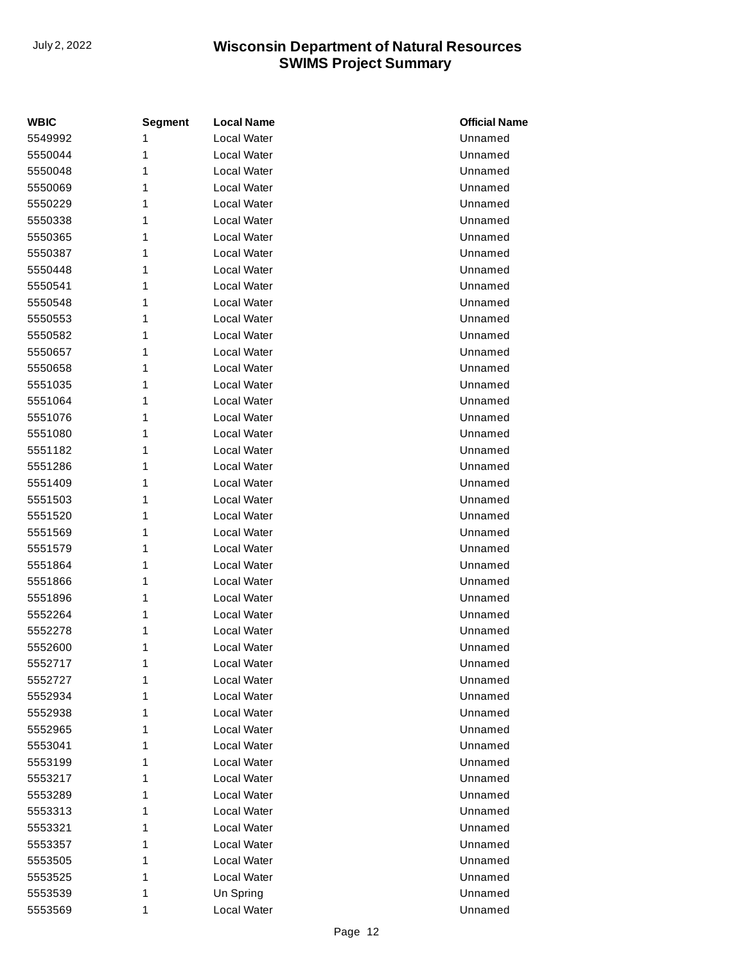| <b>WBIC</b> | <b>Segment</b> | <b>Local Name</b>  | <b>Official Name</b> |
|-------------|----------------|--------------------|----------------------|
| 5549992     | 1              | <b>Local Water</b> | Unnamed              |
| 5550044     | 1              | Local Water        | Unnamed              |
| 5550048     | 1              | Local Water        | Unnamed              |
| 5550069     | 1              | Local Water        | Unnamed              |
| 5550229     | 1              | Local Water        | Unnamed              |
| 5550338     | 1              | <b>Local Water</b> | Unnamed              |
| 5550365     | 1              | Local Water        | Unnamed              |
| 5550387     | 1              | Local Water        | Unnamed              |
| 5550448     | 1              | Local Water        | Unnamed              |
| 5550541     | 1              | Local Water        | Unnamed              |
| 5550548     | 1              | Local Water        | Unnamed              |
| 5550553     | 1              | Local Water        | Unnamed              |
| 5550582     | 1              | Local Water        | Unnamed              |
| 5550657     | 1              | <b>Local Water</b> | Unnamed              |
| 5550658     | 1              | Local Water        | Unnamed              |
| 5551035     | 1              | Local Water        | Unnamed              |
| 5551064     | 1              | Local Water        | Unnamed              |
| 5551076     | 1              | Local Water        | Unnamed              |
| 5551080     | 1              | Local Water        | Unnamed              |
| 5551182     | 1              | Local Water        | Unnamed              |
| 5551286     | 1              | Local Water        | Unnamed              |
| 5551409     | 1              | <b>Local Water</b> | Unnamed              |
| 5551503     | 1              | Local Water        | Unnamed              |
| 5551520     | 1              | Local Water        | Unnamed              |
| 5551569     | 1              | Local Water        | Unnamed              |
| 5551579     | 1              | Local Water        | Unnamed              |
| 5551864     | 1              | Local Water        | Unnamed              |
| 5551866     | 1              | Local Water        | Unnamed              |
| 5551896     | 1              | Local Water        | Unnamed              |
| 5552264     | 1              | Local Water        | Unnamed              |
| 5552278     | 1              | Local Water        | Unnamed              |
| 5552600     | 1              | Local Water        | Unnamed              |
| 5552717     | 1              | Local Water        | Unnamed              |
| 5552727     | 1              | Local Water        | Unnamed              |
| 5552934     | 1              | Local Water        | Unnamed              |
| 5552938     | 1              | Local Water        | Unnamed              |
| 5552965     | 1              | Local Water        | Unnamed              |
| 5553041     | 1              | Local Water        | Unnamed              |
| 5553199     | 1              | Local Water        | Unnamed              |
| 5553217     | 1              | Local Water        | Unnamed              |
| 5553289     | 1              | Local Water        | Unnamed              |
| 5553313     | 1              | Local Water        | Unnamed              |
| 5553321     | 1              | Local Water        | Unnamed              |
| 5553357     | 1              | Local Water        | Unnamed              |
| 5553505     | 1              | Local Water        | Unnamed              |
| 5553525     | 1              | Local Water        | Unnamed              |
| 5553539     | 1              | Un Spring          | Unnamed              |
| 5553569     | 1              | Local Water        | Unnamed              |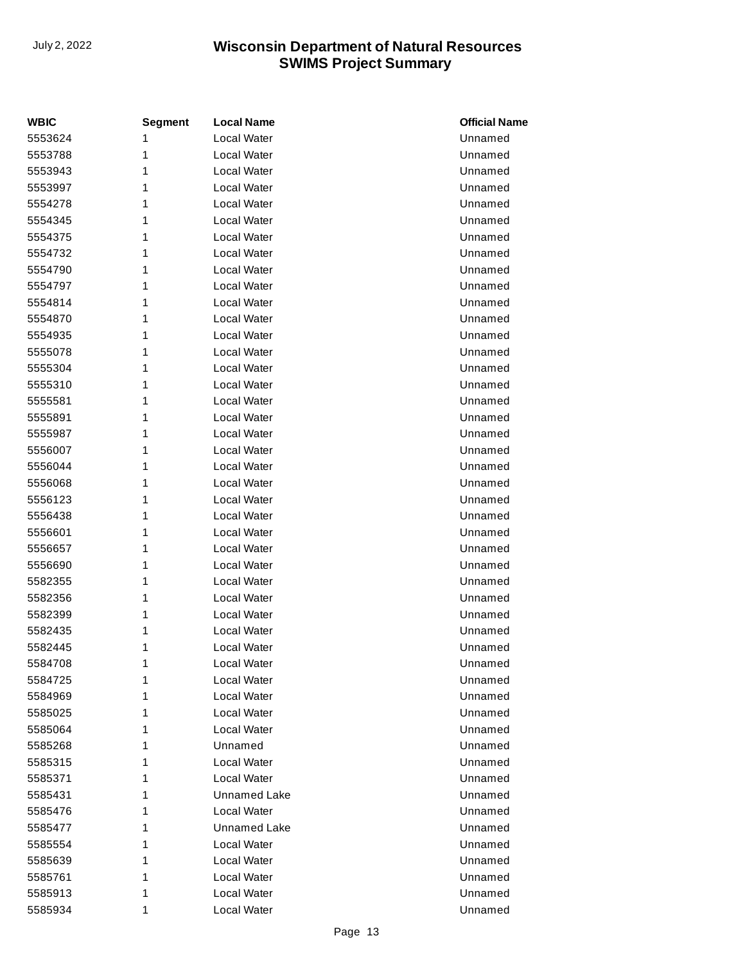| <b>WBIC</b> | <b>Segment</b> | <b>Local Name</b>   | <b>Official Name</b> |
|-------------|----------------|---------------------|----------------------|
| 5553624     | 1              | Local Water         | Unnamed              |
| 5553788     | 1              | Local Water         | Unnamed              |
| 5553943     | 1              | Local Water         | Unnamed              |
| 5553997     | 1              | Local Water         | Unnamed              |
| 5554278     | 1              | Local Water         | Unnamed              |
| 5554345     | 1              | Local Water         | Unnamed              |
| 5554375     | 1              | Local Water         | Unnamed              |
| 5554732     | 1              | Local Water         | Unnamed              |
| 5554790     | 1              | Local Water         | Unnamed              |
| 5554797     | 1              | Local Water         | Unnamed              |
| 5554814     | 1              | Local Water         | Unnamed              |
| 5554870     | 1              | Local Water         | Unnamed              |
| 5554935     | 1              | Local Water         | Unnamed              |
| 5555078     | 1              | Local Water         | Unnamed              |
| 5555304     | 1              | Local Water         | Unnamed              |
| 5555310     | 1              | Local Water         | Unnamed              |
| 5555581     | 1              | Local Water         | Unnamed              |
| 5555891     | 1              | Local Water         | Unnamed              |
| 5555987     | 1              | Local Water         | Unnamed              |
| 5556007     | 1              | Local Water         | Unnamed              |
| 5556044     | 1              | Local Water         | Unnamed              |
| 5556068     | 1              | Local Water         | Unnamed              |
| 5556123     | 1              | Local Water         | Unnamed              |
| 5556438     | 1              | Local Water         | Unnamed              |
| 5556601     | 1              | Local Water         | Unnamed              |
| 5556657     | 1              | Local Water         | Unnamed              |
| 5556690     | 1              | Local Water         | Unnamed              |
| 5582355     | 1              | Local Water         | Unnamed              |
| 5582356     | 1              | Local Water         | Unnamed              |
| 5582399     | 1              | Local Water         | Unnamed              |
| 5582435     | 1              | Local Water         | Unnamed              |
| 5582445     | 1              | Local Water         | Unnamed              |
| 5584708     | 1              | Local Water         | Unnamed              |
| 5584725     | 1              | Local Water         | Unnamed              |
| 5584969     | 1              | Local Water         | Unnamed              |
| 5585025     | 1              | Local Water         | Unnamed              |
| 5585064     | 1              | Local Water         | Unnamed              |
| 5585268     | 1              | Unnamed             | Unnamed              |
| 5585315     | 1              | Local Water         | Unnamed              |
| 5585371     | 1              | Local Water         | Unnamed              |
| 5585431     | 1              | Unnamed Lake        | Unnamed              |
| 5585476     | 1              | Local Water         | Unnamed              |
| 5585477     | 1              | <b>Unnamed Lake</b> | Unnamed              |
| 5585554     | 1              | Local Water         | Unnamed              |
| 5585639     | 1              | Local Water         | Unnamed              |
| 5585761     | 1              | Local Water         | Unnamed              |
| 5585913     | 1              | Local Water         | Unnamed              |
| 5585934     | 1              | Local Water         | Unnamed              |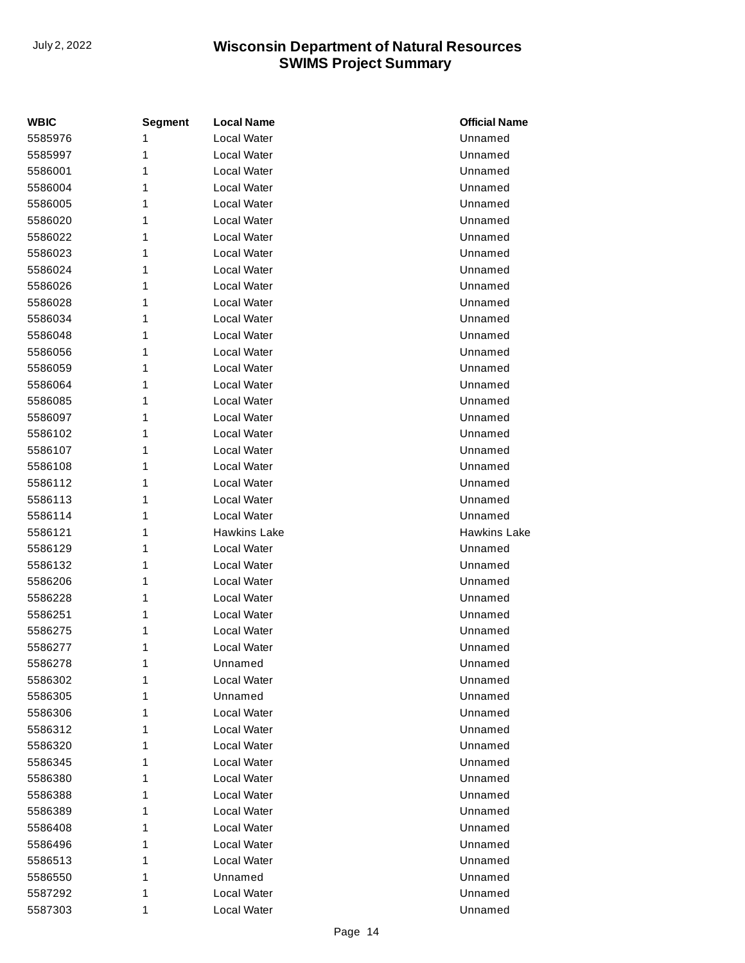| <b>WBIC</b> | <b>Segment</b> | <b>Local Name</b>   | <b>Official Name</b> |
|-------------|----------------|---------------------|----------------------|
| 5585976     | 1              | Local Water         | Unnamed              |
| 5585997     | 1              | Local Water         | Unnamed              |
| 5586001     | 1              | Local Water         | Unnamed              |
| 5586004     | 1              | Local Water         | Unnamed              |
| 5586005     | 1              | Local Water         | Unnamed              |
| 5586020     | 1              | Local Water         | Unnamed              |
| 5586022     | 1              | Local Water         | Unnamed              |
| 5586023     | 1              | Local Water         | Unnamed              |
| 5586024     | 1              | Local Water         | Unnamed              |
| 5586026     | 1              | Local Water         | Unnamed              |
| 5586028     | 1              | Local Water         | Unnamed              |
| 5586034     | 1              | Local Water         | Unnamed              |
| 5586048     | 1              | Local Water         | Unnamed              |
| 5586056     | 1              | Local Water         | Unnamed              |
| 5586059     | 1              | Local Water         | Unnamed              |
| 5586064     | 1              | Local Water         | Unnamed              |
| 5586085     | 1              | Local Water         | Unnamed              |
| 5586097     | 1              | Local Water         | Unnamed              |
| 5586102     | 1              | Local Water         | Unnamed              |
| 5586107     | 1              | Local Water         | Unnamed              |
| 5586108     | 1              | Local Water         | Unnamed              |
| 5586112     | 1              | Local Water         | Unnamed              |
| 5586113     | 1              | Local Water         | Unnamed              |
| 5586114     | 1              | Local Water         | Unnamed              |
| 5586121     | 1              | <b>Hawkins Lake</b> | <b>Hawkins Lake</b>  |
| 5586129     | 1              | Local Water         | Unnamed              |
| 5586132     | 1              | Local Water         | Unnamed              |
| 5586206     | 1              | Local Water         | Unnamed              |
| 5586228     | 1              | Local Water         | Unnamed              |
| 5586251     | 1              | Local Water         | Unnamed              |
| 5586275     | 1              | Local Water         | Unnamed              |
| 5586277     | 1              | Local Water         | Unnamed              |
| 5586278     | 1              | Unnamed             | Unnamed              |
| 5586302     | 1              | Local Water         | Unnamed              |
| 5586305     | 1              | Unnamed             | Unnamed              |
| 5586306     | 1              | Local Water         | Unnamed              |
| 5586312     | 1              | Local Water         | Unnamed              |
| 5586320     | 1              | Local Water         | Unnamed              |
| 5586345     | 1              | Local Water         | Unnamed              |
| 5586380     | 1              | Local Water         | Unnamed              |
| 5586388     | 1              | Local Water         | Unnamed              |
| 5586389     | 1              | Local Water         | Unnamed              |
| 5586408     | 1              | Local Water         | Unnamed              |
| 5586496     | 1              | Local Water         | Unnamed              |
| 5586513     | 1              | Local Water         | Unnamed              |
| 5586550     | 1              | Unnamed             | Unnamed              |
| 5587292     | 1              | Local Water         | Unnamed              |
| 5587303     | 1              | Local Water         | Unnamed              |